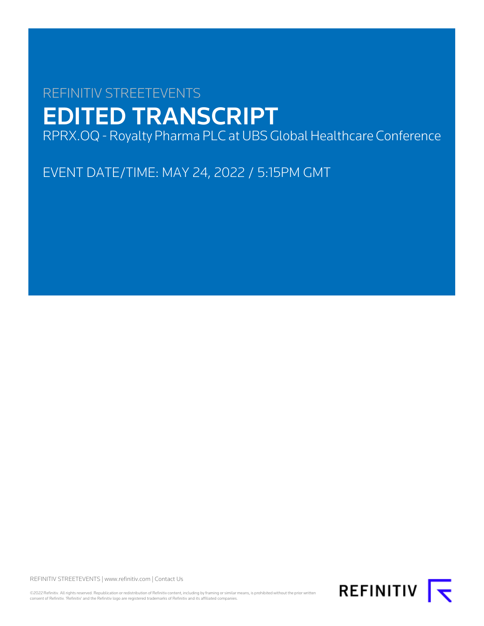# REFINITIV STREETEVENTS EDITED TRANSCRIPT

RPRX.OQ - Royalty Pharma PLC at UBS Global Healthcare Conference

EVENT DATE/TIME: MAY 24, 2022 / 5:15PM GMT

REFINITIV STREETEVENTS | [www.refinitiv.com](https://www.refinitiv.com/) | [Contact Us](https://www.refinitiv.com/en/contact-us)

©2022 Refinitiv. All rights reserved. Republication or redistribution of Refinitiv content, including by framing or similar means, is prohibited without the prior written<br>consent of Refinitiv. 'Refinitiv' and the Refinitiv

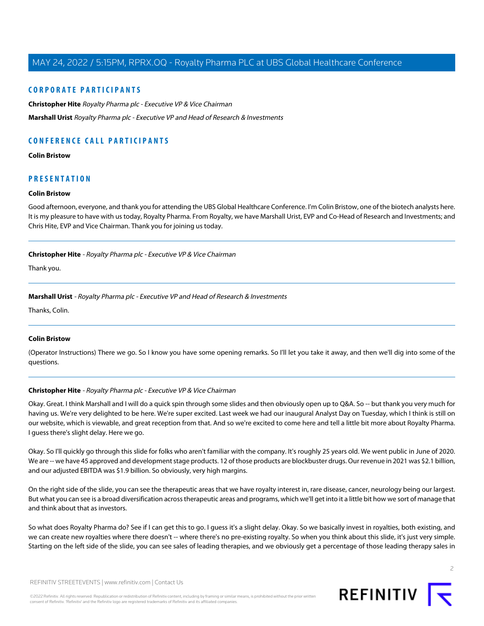## **CORPORATE PARTICIPANTS**

**[Christopher Hite](#page-1-0)** Royalty Pharma plc - Executive VP & Vice Chairman **[Marshall Urist](#page-1-1)** Royalty Pharma plc - Executive VP and Head of Research & Investments

# **CONFERENCE CALL PARTICIPANTS**

## **[Colin Bristow](#page-1-2)**

# <span id="page-1-2"></span>**PRESENTATION**

## **Colin Bristow**

<span id="page-1-0"></span>Good afternoon, everyone, and thank you for attending the UBS Global Healthcare Conference. I'm Colin Bristow, one of the biotech analysts here. It is my pleasure to have with us today, Royalty Pharma. From Royalty, we have Marshall Urist, EVP and Co-Head of Research and Investments; and Chris Hite, EVP and Vice Chairman. Thank you for joining us today.

## **Christopher Hite** - Royalty Pharma plc - Executive VP & Vice Chairman

<span id="page-1-1"></span>Thank you.

## **Marshall Urist** - Royalty Pharma plc - Executive VP and Head of Research & Investments

Thanks, Colin.

## **Colin Bristow**

(Operator Instructions) There we go. So I know you have some opening remarks. So I'll let you take it away, and then we'll dig into some of the questions.

## **Christopher Hite** - Royalty Pharma plc - Executive VP & Vice Chairman

Okay. Great. I think Marshall and I will do a quick spin through some slides and then obviously open up to Q&A. So -- but thank you very much for having us. We're very delighted to be here. We're super excited. Last week we had our inaugural Analyst Day on Tuesday, which I think is still on our website, which is viewable, and great reception from that. And so we're excited to come here and tell a little bit more about Royalty Pharma. I guess there's slight delay. Here we go.

Okay. So I'll quickly go through this slide for folks who aren't familiar with the company. It's roughly 25 years old. We went public in June of 2020. We are -- we have 45 approved and development stage products. 12 of those products are blockbuster drugs. Our revenue in 2021 was \$2.1 billion, and our adjusted EBITDA was \$1.9 billion. So obviously, very high margins.

On the right side of the slide, you can see the therapeutic areas that we have royalty interest in, rare disease, cancer, neurology being our largest. But what you can see is a broad diversification across therapeutic areas and programs, which we'll get into it a little bit how we sort of manage that and think about that as investors.

So what does Royalty Pharma do? See if I can get this to go. I guess it's a slight delay. Okay. So we basically invest in royalties, both existing, and we can create new royalties where there doesn't -- where there's no pre-existing royalty. So when you think about this slide, it's just very simple. Starting on the left side of the slide, you can see sales of leading therapies, and we obviously get a percentage of those leading therapy sales in

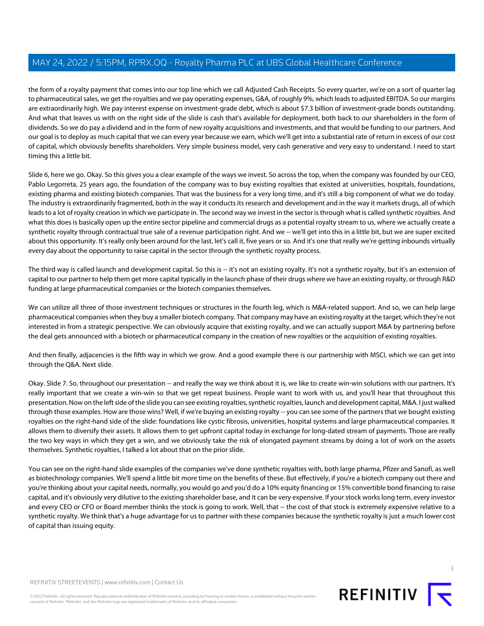the form of a royalty payment that comes into our top line which we call Adjusted Cash Receipts. So every quarter, we're on a sort of quarter lag to pharmaceutical sales, we get the royalties and we pay operating expenses, G&A, of roughly 9%, which leads to adjusted EBITDA. So our margins are extraordinarily high. We pay interest expense on investment-grade debt, which is about \$7.3 billion of investment-grade bonds outstanding. And what that leaves us with on the right side of the slide is cash that's available for deployment, both back to our shareholders in the form of dividends. So we do pay a dividend and in the form of new royalty acquisitions and investments, and that would be funding to our partners. And our goal is to deploy as much capital that we can every year because we earn, which we'll get into a substantial rate of return in excess of our cost of capital, which obviously benefits shareholders. Very simple business model, very cash generative and very easy to understand. I need to start timing this a little bit.

Slide 6, here we go. Okay. So this gives you a clear example of the ways we invest. So across the top, when the company was founded by our CEO, Pablo Legorreta, 25 years ago, the foundation of the company was to buy existing royalties that existed at universities, hospitals, foundations, existing pharma and existing biotech companies. That was the business for a very long time, and it's still a big component of what we do today. The industry is extraordinarily fragmented, both in the way it conducts its research and development and in the way it markets drugs, all of which leads to a lot of royalty creation in which we participate in. The second way we invest in the sector is through what is called synthetic royalties. And what this does is basically open up the entire sector pipeline and commercial drugs as a potential royalty stream to us, where we actually create a synthetic royalty through contractual true sale of a revenue participation right. And we -- we'll get into this in a little bit, but we are super excited about this opportunity. It's really only been around for the last, let's call it, five years or so. And it's one that really we're getting inbounds virtually every day about the opportunity to raise capital in the sector through the synthetic royalty process.

The third way is called launch and development capital. So this is -- it's not an existing royalty. It's not a synthetic royalty, but it's an extension of capital to our partner to help them get more capital typically in the launch phase of their drugs where we have an existing royalty, or through R&D funding at large pharmaceutical companies or the biotech companies themselves.

We can utilize all three of those investment techniques or structures in the fourth leg, which is M&A-related support. And so, we can help large pharmaceutical companies when they buy a smaller biotech company. That company may have an existing royalty at the target, which they're not interested in from a strategic perspective. We can obviously acquire that existing royalty, and we can actually support M&A by partnering before the deal gets announced with a biotech or pharmaceutical company in the creation of new royalties or the acquisition of existing royalties.

And then finally, adjacencies is the fifth way in which we grow. And a good example there is our partnership with MSCI, which we can get into through the Q&A. Next slide.

Okay. Slide 7. So, throughout our presentation -- and really the way we think about it is, we like to create win-win solutions with our partners. It's really important that we create a win-win so that we get repeat business. People want to work with us, and you'll hear that throughout this presentation. Now on the left side of the slide you can see existing royalties, synthetic royalties, launch and development capital, M&A. I just walked through those examples. How are those wins? Well, if we're buying an existing royalty -- you can see some of the partners that we bought existing royalties on the right-hand side of the slide: foundations like cystic fibrosis, universities, hospital systems and large pharmaceutical companies. It allows them to diversify their assets. It allows them to get upfront capital today in exchange for long-dated stream of payments. Those are really the two key ways in which they get a win, and we obviously take the risk of elongated payment streams by doing a lot of work on the assets themselves. Synthetic royalties, I talked a lot about that on the prior slide.

You can see on the right-hand slide examples of the companies we've done synthetic royalties with, both large pharma, Pfizer and Sanofi, as well as biotechnology companies. We'll spend a little bit more time on the benefits of these. But effectively, if you're a biotech company out there and you're thinking about your capital needs, normally, you would go and you'd do a 10% equity financing or 15% convertible bond financing to raise capital, and it's obviously very dilutive to the existing shareholder base, and it can be very expensive. If your stock works long term, every investor and every CEO or CFO or Board member thinks the stock is going to work. Well, that -- the cost of that stock is extremely expensive relative to a synthetic royalty. We think that's a huge advantage for us to partner with these companies because the synthetic royalty is just a much lower cost of capital than issuing equity.

©2022 Refinitiv. All rights reserved. Republication or redistribution of Refinitiv content, including by framing or similar means, is prohibited without the prior written consent of Refinitiv. 'Refinitiv' and the Refinitiv logo are registered trademarks of Refinitiv and its affiliated companies.

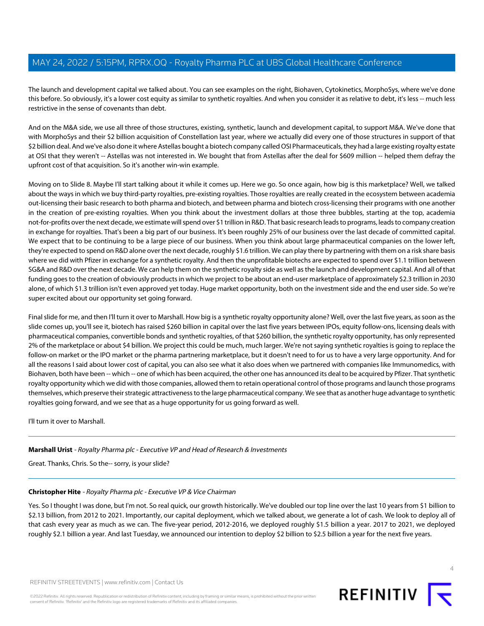The launch and development capital we talked about. You can see examples on the right, Biohaven, Cytokinetics, MorphoSys, where we've done this before. So obviously, it's a lower cost equity as similar to synthetic royalties. And when you consider it as relative to debt, it's less -- much less restrictive in the sense of covenants than debt.

And on the M&A side, we use all three of those structures, existing, synthetic, launch and development capital, to support M&A. We've done that with MorphoSys and their \$2 billion acquisition of Constellation last year, where we actually did every one of those structures in support of that \$2 billion deal. And we've also done it where Astellas bought a biotech company called OSI Pharmaceuticals, they had a large existing royalty estate at OSI that they weren't -- Astellas was not interested in. We bought that from Astellas after the deal for \$609 million -- helped them defray the upfront cost of that acquisition. So it's another win-win example.

Moving on to Slide 8. Maybe I'll start talking about it while it comes up. Here we go. So once again, how big is this marketplace? Well, we talked about the ways in which we buy third-party royalties, pre-existing royalties. Those royalties are really created in the ecosystem between academia out-licensing their basic research to both pharma and biotech, and between pharma and biotech cross-licensing their programs with one another in the creation of pre-existing royalties. When you think about the investment dollars at those three bubbles, starting at the top, academia not-for-profits over the next decade, we estimate will spend over \$1 trillion in R&D. That basic research leads to programs, leads to company creation in exchange for royalties. That's been a big part of our business. It's been roughly 25% of our business over the last decade of committed capital. We expect that to be continuing to be a large piece of our business. When you think about large pharmaceutical companies on the lower left, they're expected to spend on R&D alone over the next decade, roughly \$1.6 trillion. We can play there by partnering with them on a risk share basis where we did with Pfizer in exchange for a synthetic royalty. And then the unprofitable biotechs are expected to spend over \$1.1 trillion between SG&A and R&D over the next decade. We can help them on the synthetic royalty side as well as the launch and development capital. And all of that funding goes to the creation of obviously products in which we project to be about an end-user marketplace of approximately \$2.3 trillion in 2030 alone, of which \$1.3 trillion isn't even approved yet today. Huge market opportunity, both on the investment side and the end user side. So we're super excited about our opportunity set going forward.

Final slide for me, and then I'll turn it over to Marshall. How big is a synthetic royalty opportunity alone? Well, over the last five years, as soon as the slide comes up, you'll see it, biotech has raised \$260 billion in capital over the last five years between IPOs, equity follow-ons, licensing deals with pharmaceutical companies, convertible bonds and synthetic royalties, of that \$260 billion, the synthetic royalty opportunity, has only represented 2% of the marketplace or about \$4 billion. We project this could be much, much larger. We're not saying synthetic royalties is going to replace the follow-on market or the IPO market or the pharma partnering marketplace, but it doesn't need to for us to have a very large opportunity. And for all the reasons I said about lower cost of capital, you can also see what it also does when we partnered with companies like Immunomedics, with Biohaven, both have been -- which -- one of which has been acquired, the other one has announced its deal to be acquired by Pfizer. That synthetic royalty opportunity which we did with those companies, allowed them to retain operational control of those programs and launch those programs themselves, which preserve their strategic attractiveness to the large pharmaceutical company. We see that as another huge advantage to synthetic royalties going forward, and we see that as a huge opportunity for us going forward as well.

I'll turn it over to Marshall.

# **Marshall Urist** - Royalty Pharma plc - Executive VP and Head of Research & Investments

Great. Thanks, Chris. So the-- sorry, is your slide?

## **Christopher Hite** - Royalty Pharma plc - Executive VP & Vice Chairman

Yes. So I thought I was done, but I'm not. So real quick, our growth historically. We've doubled our top line over the last 10 years from \$1 billion to \$2.13 billion, from 2012 to 2021. Importantly, our capital deployment, which we talked about, we generate a lot of cash. We look to deploy all of that cash every year as much as we can. The five-year period, 2012-2016, we deployed roughly \$1.5 billion a year. 2017 to 2021, we deployed roughly \$2.1 billion a year. And last Tuesday, we announced our intention to deploy \$2 billion to \$2.5 billion a year for the next five years.



 $\Delta$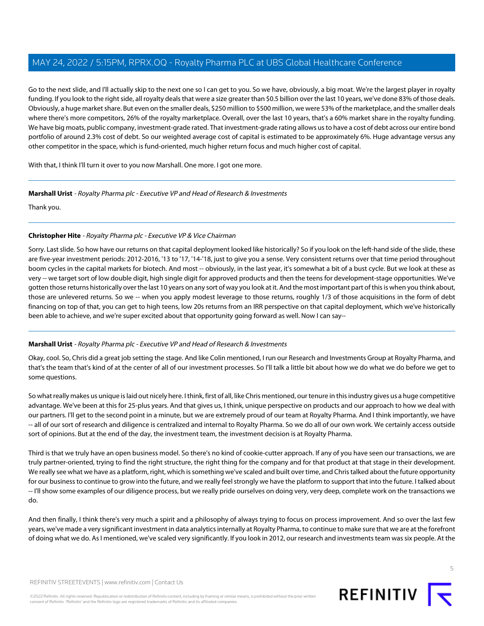Go to the next slide, and I'll actually skip to the next one so I can get to you. So we have, obviously, a big moat. We're the largest player in royalty funding. If you look to the right side, all royalty deals that were a size greater than \$0.5 billion over the last 10 years, we've done 83% of those deals. Obviously, a huge market share. But even on the smaller deals, \$250 million to \$500 million, we were 53% of the marketplace, and the smaller deals where there's more competitors, 26% of the royalty marketplace. Overall, over the last 10 years, that's a 60% market share in the royalty funding. We have big moats, public company, investment-grade rated. That investment-grade rating allows us to have a cost of debt across our entire bond portfolio of around 2.3% cost of debt. So our weighted average cost of capital is estimated to be approximately 6%. Huge advantage versus any other competitor in the space, which is fund-oriented, much higher return focus and much higher cost of capital.

With that, I think I'll turn it over to you now Marshall. One more. I got one more.

## **Marshall Urist** - Royalty Pharma plc - Executive VP and Head of Research & Investments

Thank you.

## **Christopher Hite** - Royalty Pharma plc - Executive VP & Vice Chairman

Sorry. Last slide. So how have our returns on that capital deployment looked like historically? So if you look on the left-hand side of the slide, these are five-year investment periods: 2012-2016, '13 to '17, '14-'18, just to give you a sense. Very consistent returns over that time period throughout boom cycles in the capital markets for biotech. And most -- obviously, in the last year, it's somewhat a bit of a bust cycle. But we look at these as very -- we target sort of low double digit, high single digit for approved products and then the teens for development-stage opportunities. We've gotten those returns historically over the last 10 years on any sort of way you look at it. And the most important part of this is when you think about, those are unlevered returns. So we -- when you apply modest leverage to those returns, roughly 1/3 of those acquisitions in the form of debt financing on top of that, you can get to high teens, low 20s returns from an IRR perspective on that capital deployment, which we've historically been able to achieve, and we're super excited about that opportunity going forward as well. Now I can say--

## **Marshall Urist** - Royalty Pharma plc - Executive VP and Head of Research & Investments

Okay, cool. So, Chris did a great job setting the stage. And like Colin mentioned, I run our Research and Investments Group at Royalty Pharma, and that's the team that's kind of at the center of all of our investment processes. So I'll talk a little bit about how we do what we do before we get to some questions.

So what really makes us unique is laid out nicely here. I think, first of all, like Chris mentioned, our tenure in this industry gives us a huge competitive advantage. We've been at this for 25-plus years. And that gives us, I think, unique perspective on products and our approach to how we deal with our partners. I'll get to the second point in a minute, but we are extremely proud of our team at Royalty Pharma. And I think importantly, we have -- all of our sort of research and diligence is centralized and internal to Royalty Pharma. So we do all of our own work. We certainly access outside sort of opinions. But at the end of the day, the investment team, the investment decision is at Royalty Pharma.

Third is that we truly have an open business model. So there's no kind of cookie-cutter approach. If any of you have seen our transactions, we are truly partner-oriented, trying to find the right structure, the right thing for the company and for that product at that stage in their development. We really see what we have as a platform, right, which is something we've scaled and built over time, and Chris talked about the future opportunity for our business to continue to grow into the future, and we really feel strongly we have the platform to support that into the future. I talked about -- I'll show some examples of our diligence process, but we really pride ourselves on doing very, very deep, complete work on the transactions we do.

And then finally, I think there's very much a spirit and a philosophy of always trying to focus on process improvement. And so over the last few years, we've made a very significant investment in data analytics internally at Royalty Pharma, to continue to make sure that we are at the forefront of doing what we do. As I mentioned, we've scaled very significantly. If you look in 2012, our research and investments team was six people. At the

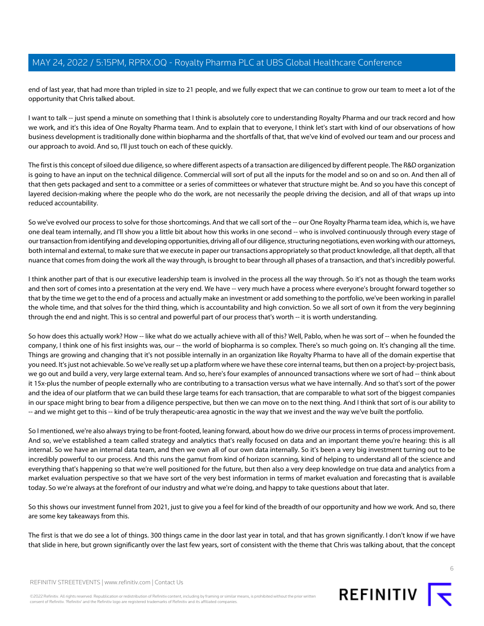end of last year, that had more than tripled in size to 21 people, and we fully expect that we can continue to grow our team to meet a lot of the opportunity that Chris talked about.

I want to talk -- just spend a minute on something that I think is absolutely core to understanding Royalty Pharma and our track record and how we work, and it's this idea of One Royalty Pharma team. And to explain that to everyone, I think let's start with kind of our observations of how business development is traditionally done within biopharma and the shortfalls of that, that we've kind of evolved our team and our process and our approach to avoid. And so, I'll just touch on each of these quickly.

The first is this concept of siloed due diligence, so where different aspects of a transaction are diligenced by different people. The R&D organization is going to have an input on the technical diligence. Commercial will sort of put all the inputs for the model and so on and so on. And then all of that then gets packaged and sent to a committee or a series of committees or whatever that structure might be. And so you have this concept of layered decision-making where the people who do the work, are not necessarily the people driving the decision, and all of that wraps up into reduced accountability.

So we've evolved our process to solve for those shortcomings. And that we call sort of the -- our One Royalty Pharma team idea, which is, we have one deal team internally, and I'll show you a little bit about how this works in one second -- who is involved continuously through every stage of our transaction from identifying and developing opportunities, driving all of our diligence, structuring negotiations, even working with our attorneys, both internal and external, to make sure that we execute in paper our transactions appropriately so that product knowledge, all that depth, all that nuance that comes from doing the work all the way through, is brought to bear through all phases of a transaction, and that's incredibly powerful.

I think another part of that is our executive leadership team is involved in the process all the way through. So it's not as though the team works and then sort of comes into a presentation at the very end. We have -- very much have a process where everyone's brought forward together so that by the time we get to the end of a process and actually make an investment or add something to the portfolio, we've been working in parallel the whole time, and that solves for the third thing, which is accountability and high conviction. So we all sort of own it from the very beginning through the end and night. This is so central and powerful part of our process that's worth -- it is worth understanding.

So how does this actually work? How -- like what do we actually achieve with all of this? Well, Pablo, when he was sort of -- when he founded the company, I think one of his first insights was, our -- the world of biopharma is so complex. There's so much going on. It's changing all the time. Things are growing and changing that it's not possible internally in an organization like Royalty Pharma to have all of the domain expertise that you need. It's just not achievable. So we've really set up a platform where we have these core internal teams, but then on a project-by-project basis, we go out and build a very, very large external team. And so, here's four examples of announced transactions where we sort of had -- think about it 15x-plus the number of people externally who are contributing to a transaction versus what we have internally. And so that's sort of the power and the idea of our platform that we can build these large teams for each transaction, that are comparable to what sort of the biggest companies in our space might bring to bear from a diligence perspective, but then we can move on to the next thing. And I think that sort of is our ability to -- and we might get to this -- kind of be truly therapeutic-area agnostic in the way that we invest and the way we've built the portfolio.

So I mentioned, we're also always trying to be front-footed, leaning forward, about how do we drive our process in terms of process improvement. And so, we've established a team called strategy and analytics that's really focused on data and an important theme you're hearing: this is all internal. So we have an internal data team, and then we own all of our own data internally. So it's been a very big investment turning out to be incredibly powerful to our process. And this runs the gamut from kind of horizon scanning, kind of helping to understand all of the science and everything that's happening so that we're well positioned for the future, but then also a very deep knowledge on true data and analytics from a market evaluation perspective so that we have sort of the very best information in terms of market evaluation and forecasting that is available today. So we're always at the forefront of our industry and what we're doing, and happy to take questions about that later.

So this shows our investment funnel from 2021, just to give you a feel for kind of the breadth of our opportunity and how we work. And so, there are some key takeaways from this.

The first is that we do see a lot of things. 300 things came in the door last year in total, and that has grown significantly. I don't know if we have that slide in here, but grown significantly over the last few years, sort of consistent with the theme that Chris was talking about, that the concept



©2022 Refinitiv. All rights reserved. Republication or redistribution of Refinitiv content, including by framing or similar means, is prohibited without the prior written consent of Refinitiv. 'Refinitiv' and the Refinitiv logo are registered trademarks of Refinitiv and its affiliated companies.

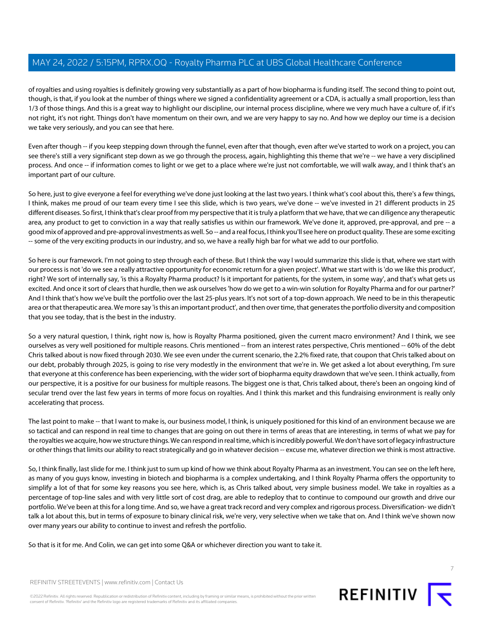of royalties and using royalties is definitely growing very substantially as a part of how biopharma is funding itself. The second thing to point out, though, is that, if you look at the number of things where we signed a confidentiality agreement or a CDA, is actually a small proportion, less than 1/3 of those things. And this is a great way to highlight our discipline, our internal process discipline, where we very much have a culture of, if it's not right, it's not right. Things don't have momentum on their own, and we are very happy to say no. And how we deploy our time is a decision we take very seriously, and you can see that here.

Even after though -- if you keep stepping down through the funnel, even after that though, even after we've started to work on a project, you can see there's still a very significant step down as we go through the process, again, highlighting this theme that we're -- we have a very disciplined process. And once -- if information comes to light or we get to a place where we're just not comfortable, we will walk away, and I think that's an important part of our culture.

So here, just to give everyone a feel for everything we've done just looking at the last two years. I think what's cool about this, there's a few things, I think, makes me proud of our team every time I see this slide, which is two years, we've done -- we've invested in 21 different products in 25 different diseases. So first, I think that's clear proof from my perspective that it is truly a platform that we have, that we can diligence any therapeutic area, any product to get to conviction in a way that really satisfies us within our framework. We've done it, approved, pre-approval, and pre -- a good mix of approved and pre-approval investments as well. So -- and a real focus, I think you'll see here on product quality. These are some exciting -- some of the very exciting products in our industry, and so, we have a really high bar for what we add to our portfolio.

So here is our framework. I'm not going to step through each of these. But I think the way I would summarize this slide is that, where we start with our process is not 'do we see a really attractive opportunity for economic return for a given project'. What we start with is 'do we like this product', right? We sort of internally say, 'is this a Royalty Pharma product? Is it important for patients, for the system, in some way', and that's what gets us excited. And once it sort of clears that hurdle, then we ask ourselves 'how do we get to a win-win solution for Royalty Pharma and for our partner?' And I think that's how we've built the portfolio over the last 25-plus years. It's not sort of a top-down approach. We need to be in this therapeutic area or that therapeutic area. We more say 'is this an important product', and then over time, that generates the portfolio diversity and composition that you see today, that is the best in the industry.

So a very natural question, I think, right now is, how is Royalty Pharma positioned, given the current macro environment? And I think, we see ourselves as very well positioned for multiple reasons. Chris mentioned -- from an interest rates perspective, Chris mentioned -- 60% of the debt Chris talked about is now fixed through 2030. We see even under the current scenario, the 2.2% fixed rate, that coupon that Chris talked about on our debt, probably through 2025, is going to rise very modestly in the environment that we're in. We get asked a lot about everything, I'm sure that everyone at this conference has been experiencing, with the wider sort of biopharma equity drawdown that we've seen. I think actually, from our perspective, it is a positive for our business for multiple reasons. The biggest one is that, Chris talked about, there's been an ongoing kind of secular trend over the last few years in terms of more focus on royalties. And I think this market and this fundraising environment is really only accelerating that process.

The last point to make -- that I want to make is, our business model, I think, is uniquely positioned for this kind of an environment because we are so tactical and can respond in real time to changes that are going on out there in terms of areas that are interesting, in terms of what we pay for the royalties we acquire, how we structure things. We can respond in real time, which is incredibly powerful. We don't have sort of legacy infrastructure or other things that limits our ability to react strategically and go in whatever decision -- excuse me, whatever direction we think is most attractive.

So, I think finally, last slide for me. I think just to sum up kind of how we think about Royalty Pharma as an investment. You can see on the left here, as many of you guys know, investing in biotech and biopharma is a complex undertaking, and I think Royalty Pharma offers the opportunity to simplify a lot of that for some key reasons you see here, which is, as Chris talked about, very simple business model. We take in royalties as a percentage of top-line sales and with very little sort of cost drag, are able to redeploy that to continue to compound our growth and drive our portfolio. We've been at this for a long time. And so, we have a great track record and very complex and rigorous process. Diversification- we didn't talk a lot about this, but in terms of exposure to binary clinical risk, we're very, very selective when we take that on. And I think we've shown now over many years our ability to continue to invest and refresh the portfolio.

So that is it for me. And Colin, we can get into some Q&A or whichever direction you want to take it.

REFINITIV STREETEVENTS | [www.refinitiv.com](https://www.refinitiv.com/) | [Contact Us](https://www.refinitiv.com/en/contact-us)

©2022 Refinitiv. All rights reserved. Republication or redistribution of Refinitiv content, including by framing or similar means, is prohibited without the prior written consent of Refinitiv. 'Refinitiv' and the Refinitiv logo are registered trademarks of Refinitiv and its affiliated companies.

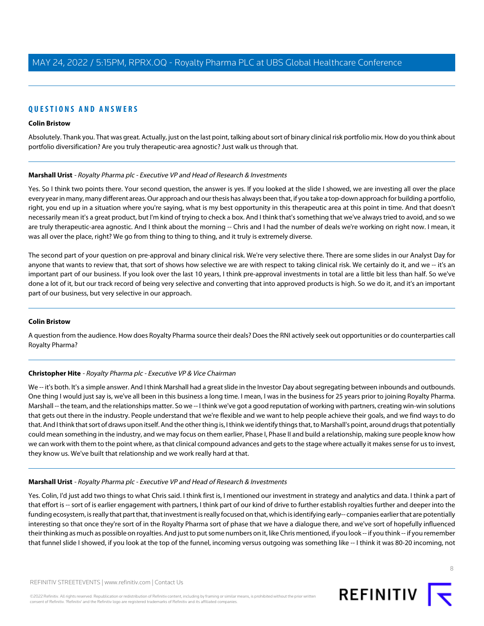# **QUESTIONS AND ANSWERS**

### **Colin Bristow**

Absolutely. Thank you. That was great. Actually, just on the last point, talking about sort of binary clinical risk portfolio mix. How do you think about portfolio diversification? Are you truly therapeutic-area agnostic? Just walk us through that.

#### **Marshall Urist** - Royalty Pharma plc - Executive VP and Head of Research & Investments

Yes. So I think two points there. Your second question, the answer is yes. If you looked at the slide I showed, we are investing all over the place every year in many, many different areas. Our approach and our thesis has always been that, if you take a top-down approach for building a portfolio, right, you end up in a situation where you're saying, what is my best opportunity in this therapeutic area at this point in time. And that doesn't necessarily mean it's a great product, but I'm kind of trying to check a box. And I think that's something that we've always tried to avoid, and so we are truly therapeutic-area agnostic. And I think about the morning -- Chris and I had the number of deals we're working on right now. I mean, it was all over the place, right? We go from thing to thing to thing, and it truly is extremely diverse.

The second part of your question on pre-approval and binary clinical risk. We're very selective there. There are some slides in our Analyst Day for anyone that wants to review that, that sort of shows how selective we are with respect to taking clinical risk. We certainly do it, and we -- it's an important part of our business. If you look over the last 10 years, I think pre-approval investments in total are a little bit less than half. So we've done a lot of it, but our track record of being very selective and converting that into approved products is high. So we do it, and it's an important part of our business, but very selective in our approach.

#### **Colin Bristow**

A question from the audience. How does Royalty Pharma source their deals? Does the RNI actively seek out opportunities or do counterparties call Royalty Pharma?

#### **Christopher Hite** - Royalty Pharma plc - Executive VP & Vice Chairman

We -- it's both. It's a simple answer. And I think Marshall had a great slide in the Investor Day about segregating between inbounds and outbounds. One thing I would just say is, we've all been in this business a long time. I mean, I was in the business for 25 years prior to joining Royalty Pharma. Marshall -- the team, and the relationships matter. So we -- I think we've got a good reputation of working with partners, creating win-win solutions that gets out there in the industry. People understand that we're flexible and we want to help people achieve their goals, and we find ways to do that. And I think that sort of draws upon itself. And the other thing is, I think we identify things that, to Marshall's point, around drugs that potentially could mean something in the industry, and we may focus on them earlier, Phase I, Phase II and build a relationship, making sure people know how we can work with them to the point where, as that clinical compound advances and gets to the stage where actually it makes sense for us to invest, they know us. We've built that relationship and we work really hard at that.

#### **Marshall Urist** - Royalty Pharma plc - Executive VP and Head of Research & Investments

Yes. Colin, I'd just add two things to what Chris said. I think first is, I mentioned our investment in strategy and analytics and data. I think a part of that effort is -- sort of is earlier engagement with partners, I think part of our kind of drive to further establish royalties further and deeper into the funding ecosystem, is really that part that, that investment is really focused on that, which is identifying early-- companies earlier that are potentially interesting so that once they're sort of in the Royalty Pharma sort of phase that we have a dialogue there, and we've sort of hopefully influenced their thinking as much as possible on royalties. And just to put some numbers on it, like Chris mentioned, if you look -- if you think -- if you remember that funnel slide I showed, if you look at the top of the funnel, incoming versus outgoing was something like -- I think it was 80-20 incoming, not

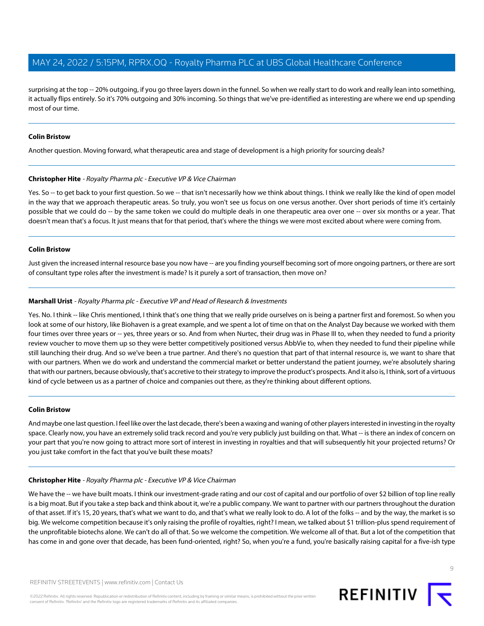surprising at the top -- 20% outgoing, if you go three layers down in the funnel. So when we really start to do work and really lean into something, it actually flips entirely. So it's 70% outgoing and 30% incoming. So things that we've pre-identified as interesting are where we end up spending most of our time.

## **Colin Bristow**

Another question. Moving forward, what therapeutic area and stage of development is a high priority for sourcing deals?

#### **Christopher Hite** - Royalty Pharma plc - Executive VP & Vice Chairman

Yes. So -- to get back to your first question. So we -- that isn't necessarily how we think about things. I think we really like the kind of open model in the way that we approach therapeutic areas. So truly, you won't see us focus on one versus another. Over short periods of time it's certainly possible that we could do -- by the same token we could do multiple deals in one therapeutic area over one -- over six months or a year. That doesn't mean that's a focus. It just means that for that period, that's where the things we were most excited about where were coming from.

#### **Colin Bristow**

Just given the increased internal resource base you now have -- are you finding yourself becoming sort of more ongoing partners, or there are sort of consultant type roles after the investment is made? Is it purely a sort of transaction, then move on?

## **Marshall Urist** - Royalty Pharma plc - Executive VP and Head of Research & Investments

Yes. No. I think -- like Chris mentioned, I think that's one thing that we really pride ourselves on is being a partner first and foremost. So when you look at some of our history, like Biohaven is a great example, and we spent a lot of time on that on the Analyst Day because we worked with them four times over three years or -- yes, three years or so. And from when Nurtec, their drug was in Phase III to, when they needed to fund a priority review voucher to move them up so they were better competitively positioned versus AbbVie to, when they needed to fund their pipeline while still launching their drug. And so we've been a true partner. And there's no question that part of that internal resource is, we want to share that with our partners. When we do work and understand the commercial market or better understand the patient journey, we're absolutely sharing that with our partners, because obviously, that's accretive to their strategy to improve the product's prospects. And it also is, I think, sort of a virtuous kind of cycle between us as a partner of choice and companies out there, as they're thinking about different options.

#### **Colin Bristow**

And maybe one last question. I feel like over the last decade, there's been a waxing and waning of other players interested in investing in the royalty space. Clearly now, you have an extremely solid track record and you're very publicly just building on that. What -- is there an index of concern on your part that you're now going to attract more sort of interest in investing in royalties and that will subsequently hit your projected returns? Or you just take comfort in the fact that you've built these moats?

## **Christopher Hite** - Royalty Pharma plc - Executive VP & Vice Chairman

We have the -- we have built moats. I think our investment-grade rating and our cost of capital and our portfolio of over \$2 billion of top line really is a big moat. But if you take a step back and think about it, we're a public company. We want to partner with our partners throughout the duration of that asset. If it's 15, 20 years, that's what we want to do, and that's what we really look to do. A lot of the folks -- and by the way, the market is so big. We welcome competition because it's only raising the profile of royalties, right? I mean, we talked about \$1 trillion-plus spend requirement of the unprofitable biotechs alone. We can't do all of that. So we welcome the competition. We welcome all of that. But a lot of the competition that has come in and gone over that decade, has been fund-oriented, right? So, when you're a fund, you're basically raising capital for a five-ish type